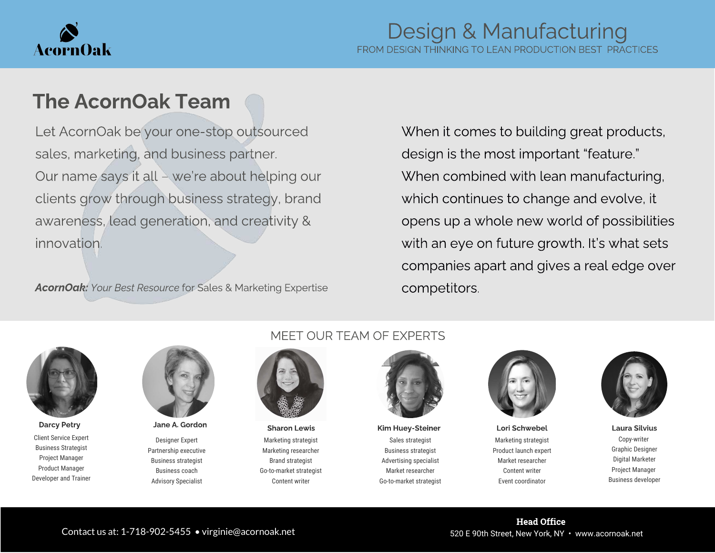

## The AcornOak Team

Let AcornOak be your one-stop outsourced sales, marketing, and business partner. Our name says it all – we're about helping our clients grow through business strategy, brand awareness, lead generation, and creativity & innovation.

AcornOak: Your Best Resource for Sales & Marketing Expertise

When it comes to building great products, design is the most important "feature." When combined with lean manufacturing, which continues to change and evolve, it opens up a whole new world of possibilities with an eye on future growth. It's what sets companies apart and gives a real edge over competitors.



Client Service Expert Business Strategist Project Manager Product Manager Developer and Trainer



Designer Expert Partnership executive Business strategist Business coach Advisory Specialist

#### MEET OUR TEAM OF EXPERTS



Marketing strategist Marketing researcher Brand strategist Go-to-market strategist Content writer

Sales strategist Business strategist Advertising specialist Market researcher Go-to-market strategist Darcy Petry Sharon Lewis Kim Huey-Steiner Lori Schwebel Laura Silvius Laura Silvius Charles A. Gordon Laura Silvius



Marketing strategist Product launch expert Market researcher Content writer Event coordinator



Copy-writer Graphic Designer Digital Marketer Project Manager Business developer